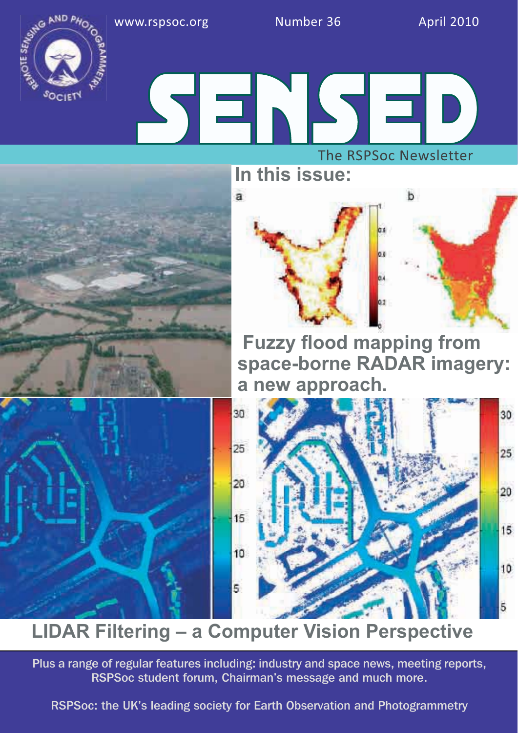www.rspsoc.org

Number 36 April 2010



# SERISE The RSPSoc Newsletter **In this issue:**



**Fuzzy flood mapping from space-borne RADAR imagery: a new approach.**



### **LIDAR Filtering – a Computer Vision Perspective**

Plus a range of regular features including: industry and space news, meeting reports, RSPSoc student forum, Chairman's message and much more.

RSPSoc: the UK's leading society for Earth Observation and Photogrammetry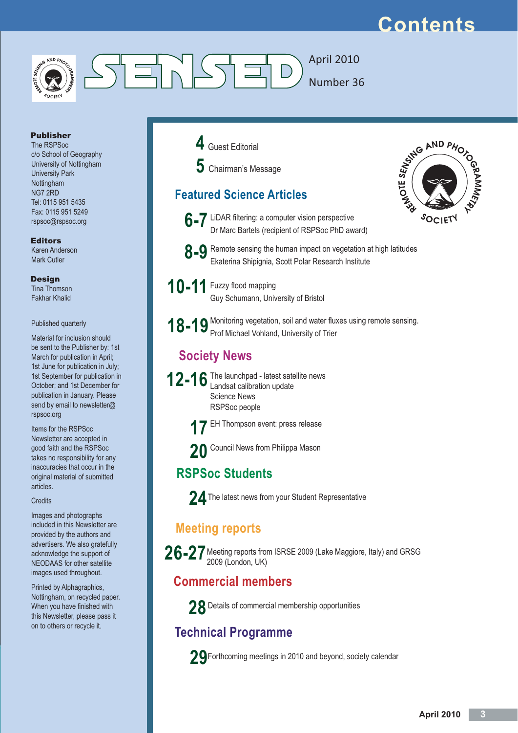# **Contents**



#### **Publisher**

The RSPSoc c/o School of Geography University of Nottingham University Park Nottingham NG7 2RD Tel: 0115 951 5435 Fax: 0115 951 5249 rspsoc@rspsoc.org

**Editors** Karen Anderson Mark Cutler

**Design** Tina Thomson Fakhar Khalid

#### Published quarterly

Material for inclusion should be sent to the Publisher by: 1st March for publication in April; 1st June for publication in July; 1st September for publication in October; and 1st December for publication in January. Please send by email to newsletter@ rspsoc.org

Items for the RSPSoc Newsletter are accepted in good faith and the RSPSoc takes no responsibility for any inaccuracies that occur in the original material of submitted articles.

#### **Credits**

Images and photographs included in this Newsletter are provided by the authors and advertisers. We also gratefully acknowledge the support of NEODAAS for other satellite images used throughout.

Printed by Alphagraphics, Nottingham, on recycled paper. When you have finished with this Newsletter, please pass it on to others or recycle it.



**4** Guest Editorial

**5** Chairman's Message

#### **Featured Science Articles**

- **6-7** LiDAR filtering: a computer vision perspective
- 8-9 Remote sensing the human impact on vegetation at high latitudes<br>
Ekaterina Shipiqnia, Scott Polar Pesearch Institute Dr Marc Bartels (recipient of RSPSoc PhD award) Ekaterina Shipignia, Scott Polar Research Institute
- **10-11** Fuzzy flood mapping Guy Schumann, University of Bristol

18-19 Monitoring vegetation, soil and water fluxes using remote sensing.<br>18-19 Prof Michael Vohland, University of Trier

#### **Society News**

- **12-16** The launchpad latest satellite news Landsat calibration update Science News RSPSoc people
	- **17** EH Thompson event: press release



- 
- 20 Council News from Philippa Mason

### **RSPSoc Students**

24 The latest news from your Student Representative

#### **Meeting reports**

Meeting reports from ISRSE 2009 (Lake Maggiore, Italy) and GRSG 2009 (London, UK) **26-27**

### **Commercial members**



### 28 Details of commercial membership opportunities

### **Technical Programme**



**29** Forthcoming meetings in 2010 and beyond, society calendar



**April 2010 3**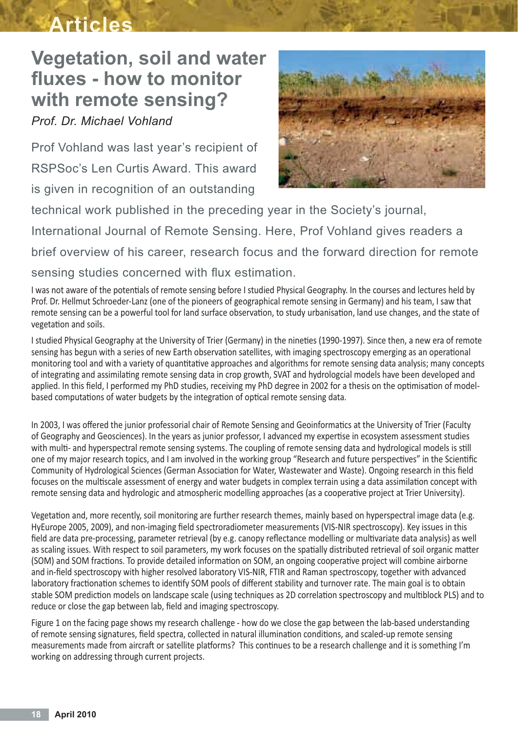# **Articles**

### **Vegetation, soil and water fl uxes - how to monitor with remote sensing?**

*Prof. Dr. Michael Vohland*

Prof Vohland was last year's recipient of RSPSoc's Len Curtis Award. This award is given in recognition of an outstanding



technical work published in the preceding year in the Society's journal, International Journal of Remote Sensing. Here, Prof Vohland gives readers a brief overview of his career, research focus and the forward direction for remote sensing studies concerned with flux estimation.

I was not aware of the potentials of remote sensing before I studied Physical Geography. In the courses and lectures held by Prof. Dr. Hellmut Schroeder-Lanz (one of the pioneers of geographical remote sensing in Germany) and his team, I saw that remote sensing can be a powerful tool for land surface observation, to study urbanisation, land use changes, and the state of vegetation and soils.

I studied Physical Geography at the University of Trier (Germany) in the nineties (1990-1997). Since then, a new era of remote sensing has begun with a series of new Earth observation satellites, with imaging spectroscopy emerging as an operational monitoring tool and with a variety of quantitative approaches and algorithms for remote sensing data analysis; many concepts of integrating and assimilating remote sensing data in crop growth, SVAT and hydrologcial models have been developed and applied. In this field, I performed my PhD studies, receiving my PhD degree in 2002 for a thesis on the optimisation of modelbased computations of water budgets by the integration of optical remote sensing data.

In 2003, I was offered the junior professorial chair of Remote Sensing and Geoinformatics at the University of Trier (Faculty of Geography and Geosciences). In the years as junior professor, I advanced my expertise in ecosystem assessment studies with multi- and hyperspectral remote sensing systems. The coupling of remote sensing data and hydrological models is still one of my major research topics, and I am involved in the working group "Research and future perspectives" in the Scientific Community of Hydrological Sciences (German Association for Water, Wastewater and Waste). Ongoing research in this field focuses on the multiscale assessment of energy and water budgets in complex terrain using a data assimilation concept with remote sensing data and hydrologic and atmospheric modelling approaches (as a cooperative project at Trier University).

Vegetation and, more recently, soil monitoring are further research themes, mainly based on hyperspectral image data (e.g. HyEurope 2005, 2009), and non-imaging field spectroradiometer measurements (VIS-NIR spectroscopy). Key issues in this field are data pre-processing, parameter retrieval (by e.g. canopy reflectance modelling or multivariate data analysis) as well as scaling issues. With respect to soil parameters, my work focuses on the spatially distributed retrieval of soil organic matter (SOM) and SOM fractions. To provide detailed information on SOM, an ongoing cooperative project will combine airborne and in-field spectroscopy with higher resolved laboratory VIS-NIR, FTIR and Raman spectroscopy, together with advanced laboratory fractionation schemes to identify SOM pools of different stability and turnover rate. The main goal is to obtain stable SOM prediction models on landscape scale (using techniques as 2D correlation spectroscopy and multiblock PLS) and to reduce or close the gap between lab, field and imaging spectroscopy.

Figure 1 on the facing page shows my research challenge - how do we close the gap between the lab-based understanding of remote sensing signatures, field spectra, collected in natural illumination conditions, and scaled-up remote sensing measurements made from aircraft or satellite platforms? This continues to be a research challenge and it is something I'm working on addressing through current projects.